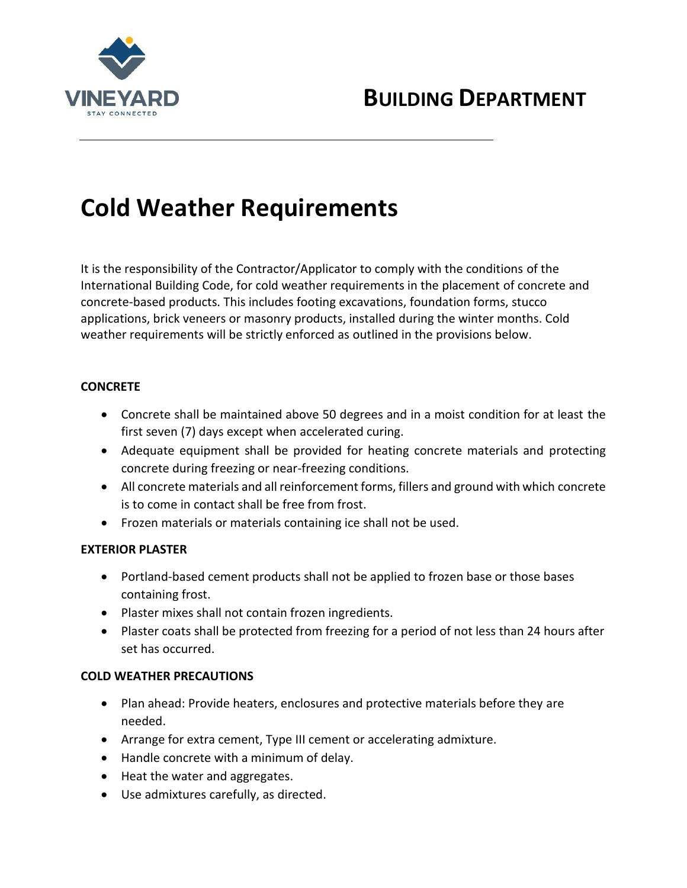

# **BUILDING DEPARTMENT**

# **Cold Weather Requirements**

It is the responsibility of the Contractor/Applicator to comply with the conditions of the International Building Code, for cold weather requirements in the placement of concrete and concrete-based products. This includes footing excavations, foundation forms, stucco applications, brick veneers or masonry products, installed during the winter months. Cold weather requirements will be strictly enforced as outlined in the provisions below.

#### **CONCRETE**

- Concrete shall be maintained above 50 degrees and in a moist condition for at least the first seven (7) days except when accelerated curing.
- Adequate equipment shall be provided for heating concrete materials and protecting concrete during freezing or near-freezing conditions.
- All concrete materials and all reinforcement forms, fillers and ground with which concrete is to come in contact shall be free from frost.
- Frozen materials or materials containing ice shall not be used.

### **EXTERIOR PLASTER**

- Portland-based cement products shall not be applied to frozen base or those bases containing frost.
- Plaster mixes shall not contain frozen ingredients.
- Plaster coats shall be protected from freezing for a period of not less than 24 hours after set has occurred.

### **COLD WEATHER PRECAUTIONS**

- Plan ahead: Provide heaters, enclosures and protective materials before they are needed.
- Arrange for extra cement, Type III cement or accelerating admixture.
- Handle concrete with a minimum of delay.
- Heat the water and aggregates.
- Use admixtures carefully, as directed.